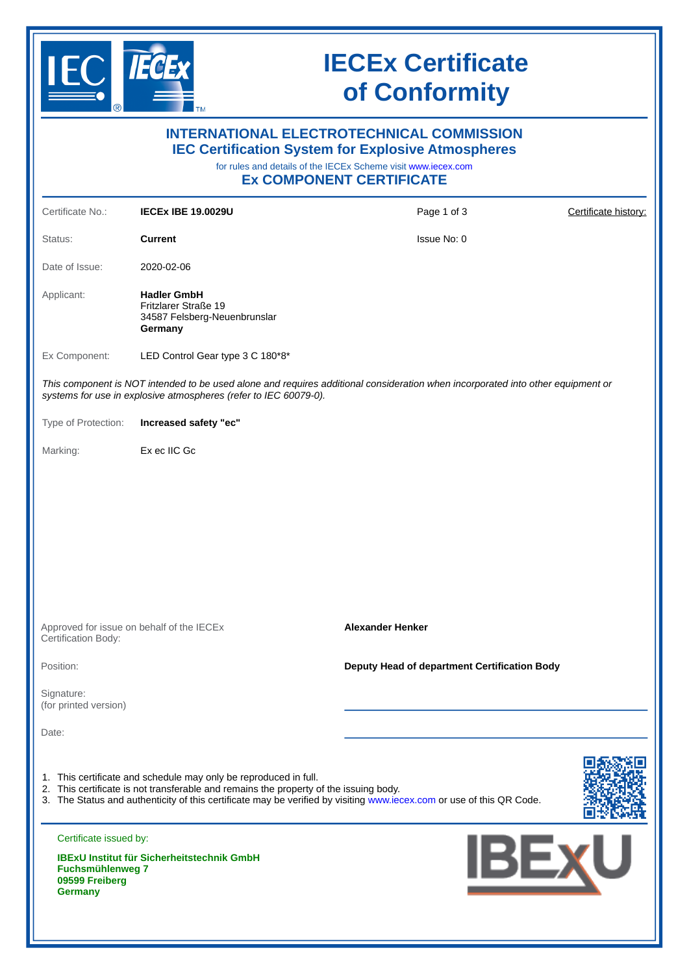

## **IECEx Certificate of Conformity**

| <b>INTERNATIONAL ELECTROTECHNICAL COMMISSION</b><br><b>IEC Certification System for Explosive Atmospheres</b><br>for rules and details of the IECEx Scheme visit www.iecex.com<br><b>Ex COMPONENT CERTIFICATE</b> |                                                                                                                                                           |                                                                                                                                 |                      |  |
|-------------------------------------------------------------------------------------------------------------------------------------------------------------------------------------------------------------------|-----------------------------------------------------------------------------------------------------------------------------------------------------------|---------------------------------------------------------------------------------------------------------------------------------|----------------------|--|
| Certificate No.:                                                                                                                                                                                                  | <b>IECEX IBE 19.0029U</b>                                                                                                                                 | Page 1 of 3                                                                                                                     | Certificate history: |  |
| Status:                                                                                                                                                                                                           | <b>Current</b>                                                                                                                                            | Issue No: 0                                                                                                                     |                      |  |
| Date of Issue:                                                                                                                                                                                                    | 2020-02-06                                                                                                                                                |                                                                                                                                 |                      |  |
| Applicant:                                                                                                                                                                                                        | <b>Hadler GmbH</b><br>Fritzlarer Straße 19<br>34587 Felsberg-Neuenbrunslar<br>Germany                                                                     |                                                                                                                                 |                      |  |
| Ex Component:                                                                                                                                                                                                     | LED Control Gear type 3 C 180*8*                                                                                                                          |                                                                                                                                 |                      |  |
|                                                                                                                                                                                                                   | systems for use in explosive atmospheres (refer to IEC 60079-0).                                                                                          | This component is NOT intended to be used alone and requires additional consideration when incorporated into other equipment or |                      |  |
| Type of Protection:                                                                                                                                                                                               | Increased safety "ec"                                                                                                                                     |                                                                                                                                 |                      |  |
| Marking:                                                                                                                                                                                                          | Ex ec IIC Gc                                                                                                                                              |                                                                                                                                 |                      |  |
| Approved for issue on behalf of the IECEx                                                                                                                                                                         |                                                                                                                                                           | <b>Alexander Henker</b>                                                                                                         |                      |  |
| Certification Body:                                                                                                                                                                                               |                                                                                                                                                           |                                                                                                                                 |                      |  |
| Position:                                                                                                                                                                                                         |                                                                                                                                                           | Deputy Head of department Certification Body                                                                                    |                      |  |
| Signature:<br>(for printed version)                                                                                                                                                                               |                                                                                                                                                           |                                                                                                                                 |                      |  |
| Date:                                                                                                                                                                                                             |                                                                                                                                                           |                                                                                                                                 |                      |  |
|                                                                                                                                                                                                                   | 1. This certificate and schedule may only be reproduced in full.<br>2. This certificate is not transferable and remains the property of the issuing body. | 3. The Status and authenticity of this certificate may be verified by visiting www.iecex.com or use of this QR Code.            |                      |  |
| Certificate issued by:<br><b>Fuchsmühlenweg 7</b><br>09599 Freiberg<br><b>Germany</b>                                                                                                                             | <b>IBExU Institut für Sicherheitstechnik GmbH</b>                                                                                                         | <b>IBEXU</b>                                                                                                                    |                      |  |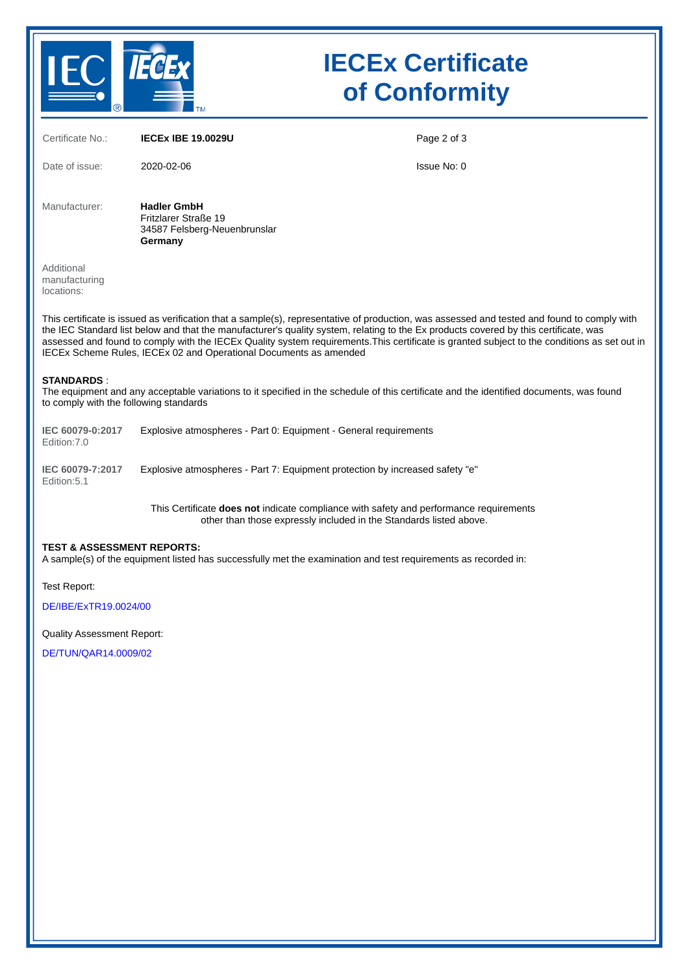

# **IECEx Certificate of Conformity**

| Certificate No.:                                                                                                                                                                                                                                                                                                                                                                                                                                                                                         | <b>IECEX IBE 19.0029U</b>                                                                                                                                    | Page 2 of 3 |  |  |
|----------------------------------------------------------------------------------------------------------------------------------------------------------------------------------------------------------------------------------------------------------------------------------------------------------------------------------------------------------------------------------------------------------------------------------------------------------------------------------------------------------|--------------------------------------------------------------------------------------------------------------------------------------------------------------|-------------|--|--|
| Date of issue:                                                                                                                                                                                                                                                                                                                                                                                                                                                                                           | 2020-02-06                                                                                                                                                   | Issue No: 0 |  |  |
| Manufacturer:                                                                                                                                                                                                                                                                                                                                                                                                                                                                                            | <b>Hadler GmbH</b><br>Fritzlarer Straße 19<br>34587 Felsberg-Neuenbrunslar<br>Germany                                                                        |             |  |  |
| Additional<br>manufacturing<br>locations:                                                                                                                                                                                                                                                                                                                                                                                                                                                                |                                                                                                                                                              |             |  |  |
| This certificate is issued as verification that a sample(s), representative of production, was assessed and tested and found to comply with<br>the IEC Standard list below and that the manufacturer's quality system, relating to the Ex products covered by this certificate, was<br>assessed and found to comply with the IECEx Quality system requirements. This certificate is granted subject to the conditions as set out in<br>IECEx Scheme Rules, IECEx 02 and Operational Documents as amended |                                                                                                                                                              |             |  |  |
| <b>STANDARDS:</b><br>The equipment and any acceptable variations to it specified in the schedule of this certificate and the identified documents, was found<br>to comply with the following standards                                                                                                                                                                                                                                                                                                   |                                                                                                                                                              |             |  |  |
| IEC 60079-0:2017<br>Edition: 7.0                                                                                                                                                                                                                                                                                                                                                                                                                                                                         | Explosive atmospheres - Part 0: Equipment - General requirements                                                                                             |             |  |  |
| IEC 60079-7:2017<br>Edition: 5.1                                                                                                                                                                                                                                                                                                                                                                                                                                                                         | Explosive atmospheres - Part 7: Equipment protection by increased safety "e"                                                                                 |             |  |  |
|                                                                                                                                                                                                                                                                                                                                                                                                                                                                                                          | This Certificate does not indicate compliance with safety and performance requirements<br>other than those expressly included in the Standards listed above. |             |  |  |
| <b>TEST &amp; ASSESSMENT REPORTS:</b><br>A sample(s) of the equipment listed has successfully met the examination and test requirements as recorded in:                                                                                                                                                                                                                                                                                                                                                  |                                                                                                                                                              |             |  |  |
| Test Report:<br>DE/IBE/ExTR19.0024/00                                                                                                                                                                                                                                                                                                                                                                                                                                                                    |                                                                                                                                                              |             |  |  |
| <b>Quality Assessment Report:</b>                                                                                                                                                                                                                                                                                                                                                                                                                                                                        |                                                                                                                                                              |             |  |  |

[DE/TUN/QAR14.0009/02](https://www.iecex-certs.com/deliverables/REPORT/44247/view)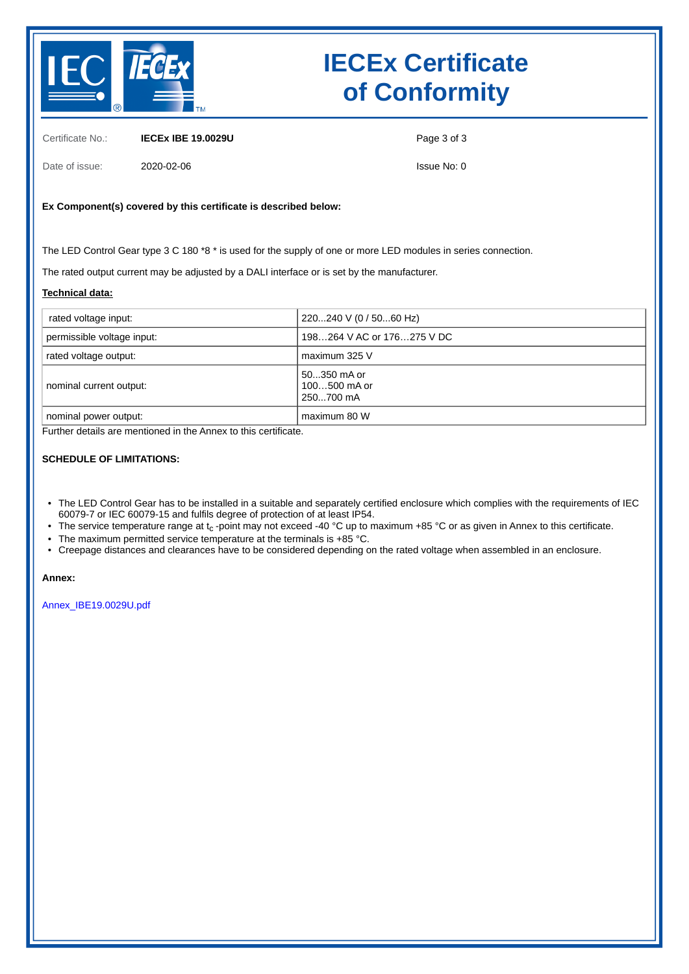

# **IECEx Certificate of Conformity**

Certificate No.: **IECEx IBE 19.0029U**

Date of issue: 2020-02-06

Page 3 of 3

Issue No: 0

### **Ex Component(s) covered by this certificate is described below:**

The LED Control Gear type 3 C 180 \*8 \* is used for the supply of one or more LED modules in series connection.

The rated output current may be adjusted by a DALI interface or is set by the manufacturer.

#### **Technical data:**

| rated voltage input:       | 220240 V (0 / 5060 Hz)                     |
|----------------------------|--------------------------------------------|
| permissible voltage input: | 198264 V AC or 176275 V DC                 |
| rated voltage output:      | maximum 325 V                              |
| nominal current output:    | 50350 mA or<br>$100500$ mA or<br>250700 mA |
| nominal power output:      | maximum 80 W                               |

Further details are mentioned in the Annex to this certificate.

#### **SCHEDULE OF LIMITATIONS:**

- The LED Control Gear has to be installed in a suitable and separately certified enclosure which complies with the requirements of IEC 60079-7 or IEC 60079-15 and fulfils degree of protection of at least IP54.
- The service temperature range at  $t_c$ -point may not exceed -40 °C up to maximum +85 °C or as given in Annex to this certificate.
- The maximum permitted service temperature at the terminals is +85 °C.
- Creepage distances and clearances have to be considered depending on the rated voltage when assembled in an enclosure.

#### **Annex:**

[Annex\\_IBE19.0029U.pdf](https://www.iecex-certs.com/deliverables/CERT/44667/view)